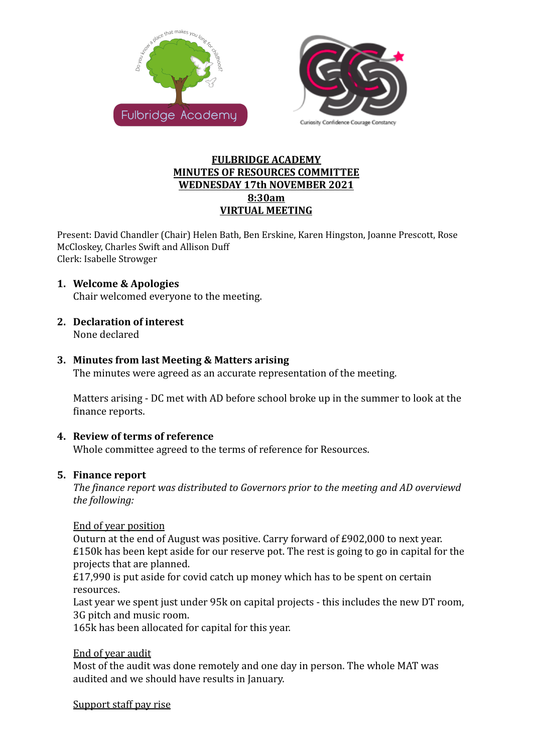



### **FULBRIDGE ACADEMY MINUTES OF RESOURCES COMMITTEE WEDNESDAY 17th NOVEMBER 2021 8:30am VIRTUAL MEETING**

Present: David Chandler (Chair) Helen Bath, Ben Erskine, Karen Hingston, Joanne Prescott, Rose McCloskey, Charles Swift and Allison Duff Clerk: Isabelle Strowger

### **1. Welcome & Apologies**

Chair welcomed everyone to the meeting.

**2. Declaration of interest**

None declared

#### **3. Minutes from last Meeting & Matters arising**

The minutes were agreed as an accurate representation of the meeting.

Matters arising - DC met with AD before school broke up in the summer to look at the finance reports.

### **4. Review of terms of reference**

Whole committee agreed to the terms of reference for Resources.

#### **5. Finance report**

*The finance report was distributed to Governors prior to the meeting and AD overviewd the following:*

#### End of year position

Outurn at the end of August was positive. Carry forward of £902,000 to next year. £150k has been kept aside for our reserve pot. The rest is going to go in capital for the projects that are planned.

£17,990 is put aside for covid catch up money which has to be spent on certain resources.

Last year we spent just under 95k on capital projects - this includes the new DT room, 3G pitch and music room.

165k has been allocated for capital for this year.

### End of year audit

Most of the audit was done remotely and one day in person. The whole MAT was audited and we should have results in January.

Support staff pay rise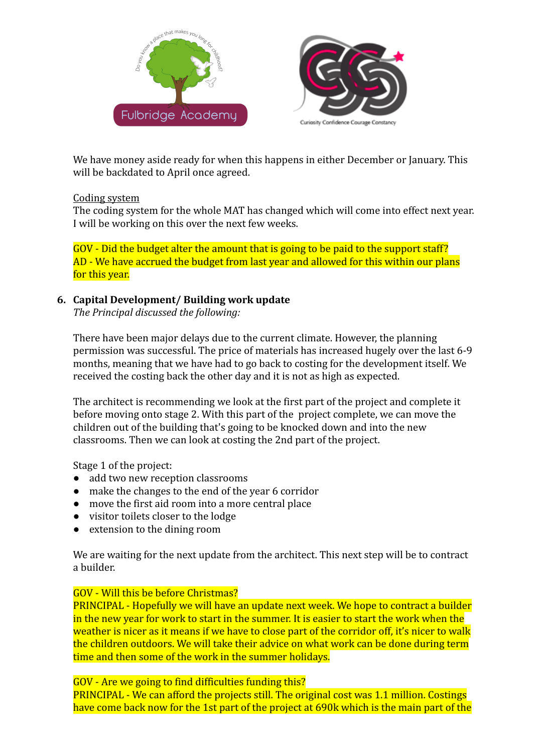



We have money aside ready for when this happens in either December or January. This will be backdated to April once agreed.

# Coding system

The coding system for the whole MAT has changed which will come into effect next year. I will be working on this over the next few weeks.

GOV - Did the budget alter the amount that is going to be paid to the support staff? AD - We have accrued the budget from last year and allowed for this within our plans for this year.

## **6. Capital Development/ Building work update**

*The Principal discussed the following:*

There have been major delays due to the current climate. However, the planning permission was successful. The price of materials has increased hugely over the last 6-9 months, meaning that we have had to go back to costing for the development itself. We received the costing back the other day and it is not as high as expected.

The architect is recommending we look at the first part of the project and complete it before moving onto stage 2. With this part of the project complete, we can move the children out of the building that's going to be knocked down and into the new classrooms. Then we can look at costing the 2nd part of the project.

Stage 1 of the project:

- add two new reception classrooms
- make the changes to the end of the year 6 corridor
- move the first aid room into a more central place
- visitor toilets closer to the lodge
- extension to the dining room

We are waiting for the next update from the architect. This next step will be to contract a builder.

# GOV - Will this be before Christmas?

PRINCIPAL - Hopefully we will have an update next week. We hope to contract a builder in the new year for work to start in the summer. It is easier to start the work when the weather is nicer as it means if we have to close part of the corridor off, it's nicer to walk the children outdoors. We will take their advice on what work can be done during term time and then some of the work in the summer holidays.

GOV - Are we going to find difficulties funding this?

PRINCIPAL - We can afford the projects still. The original cost was 1.1 million. Costings have come back now for the 1st part of the project at 690k which is the main part of the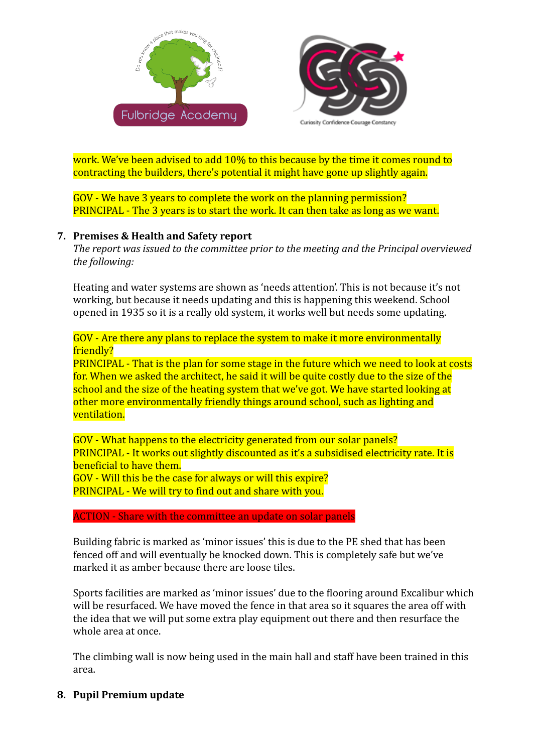



work. We've been advised to add 10% to this because by the time it comes round to contracting the builders, there's potential it might have gone up slightly again.

GOV - We have 3 years to complete the work on the planning permission? PRINCIPAL - The 3 years is to start the work. It can then take as long as we want.

## **7. Premises & Health and Safety report**

*The report was issued to the committee prior to the meeting and the Principal overviewed the following:*

Heating and water systems are shown as 'needs attention'. This is not because it's not working, but because it needs updating and this is happening this weekend. School opened in 1935 so it is a really old system, it works well but needs some updating.

GOV - Are there any plans to replace the system to make it more environmentally friendly?

PRINCIPAL - That is the plan for some stage in the future which we need to look at costs for. When we asked the architect, he said it will be quite costly due to the size of the school and the size of the heating system that we've got. We have started looking at other more environmentally friendly things around school, such as lighting and ventilation.

GOV - What happens to the electricity generated from our solar panels? PRINCIPAL - It works out slightly discounted as it's a subsidised electricity rate. It is beneficial to have them. GOV - Will this be the case for always or will this expire? PRINCIPAL - We will try to find out and share with you.

#### ACTION - Share with the committee an update on solar panels

Building fabric is marked as 'minor issues' this is due to the PE shed that has been fenced off and will eventually be knocked down. This is completely safe but we've marked it as amber because there are loose tiles.

Sports facilities are marked as 'minor issues' due to the flooring around Excalibur which will be resurfaced. We have moved the fence in that area so it squares the area off with the idea that we will put some extra play equipment out there and then resurface the whole area at once.

The climbing wall is now being used in the main hall and staff have been trained in this area.

# **8. Pupil Premium update**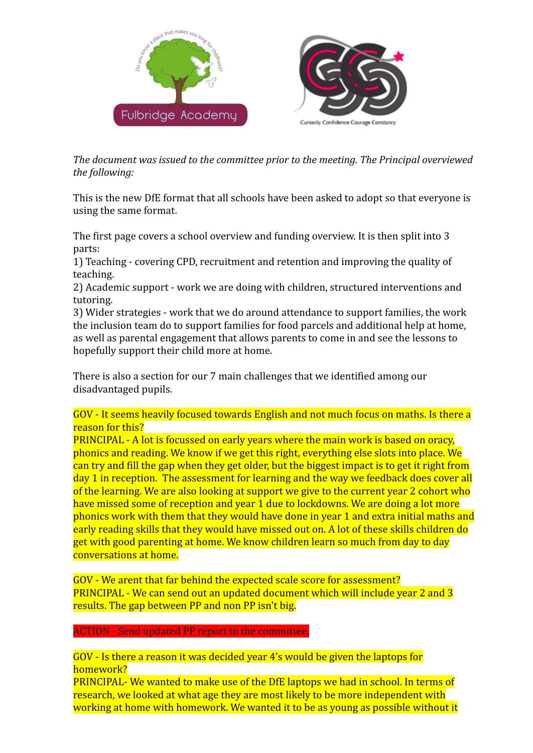

*The document was issued to the committee prior to the meeting. The Principal overviewed the following:*

This is the new DfE format that all schools have been asked to adopt so that everyone is using the same format.

The first page covers a school overview and funding overview. It is then split into 3 parts:

1) Teaching - covering CPD, recruitment and retention and improving the quality of teaching.

2) Academic support - work we are doing with children, structured interventions and tutoring.

3) Wider strategies - work that we do around attendance to support families, the work the inclusion team do to support families for food parcels and additional help at home, as well as parental engagement that allows parents to come in and see the lessons to hopefully support their child more at home.

There is also a section for our 7 main challenges that we identified among our disadvantaged pupils.

GOV - It seems heavily focused towards English and not much focus on maths. Is there a reason for this?

PRINCIPAL - A lot is focussed on early years where the main work is based on oracy, phonics and reading. We know if we get this right, everything else slots into place. We can try and fill the gap when they get older, but the biggest impact is to get it right from day 1 in reception. The assessment for learning and the way we feedback does cover all of the learning. We are also looking at support we give to the current year 2 cohort who have missed some of reception and year 1 due to lockdowns. We are doing a lot more phonics work with them that they would have done in year 1 and extra initial maths and early reading skills that they would have missed out on. A lot of these skills children do get with good parenting at home. We know children learn so much from day to day conversations at home.

GOV - We arent that far behind the expected scale score for assessment? PRINCIPAL - We can send out an updated document which will include year 2 and 3 results. The gap between PP and non PP isn't big.

### ACTION - Send updated PP report to the committee.

GOV - Is there a reason it was decided year 4's would be given the laptops for homework?

PRINCIPAL- We wanted to make use of the DfE laptops we had in school. In terms of research, we looked at what age they are most likely to be more independent with working at home with homework. We wanted it to be as young as possible without it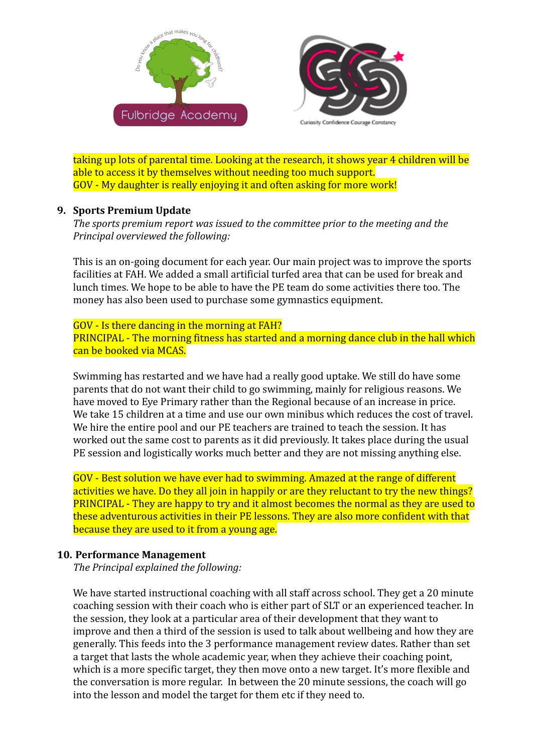



taking up lots of parental time. Looking at the research, it shows year 4 children will be able to access it by themselves without needing too much support. GOV - My daughter is really enjoying it and often asking for more work!

## **9. Sports Premium Update**

*The sports premium report was issued to the committee prior to the meeting and the Principal overviewed the following:*

This is an on-going document for each year. Our main project was to improve the sports facilities at FAH. We added a small artificial turfed area that can be used for break and lunch times. We hope to be able to have the PE team do some activities there too. The money has also been used to purchase some gymnastics equipment.

GOV - Is there dancing in the morning at FAH? PRINCIPAL - The morning fitness has started and a morning dance club in the hall which can be booked via MCAS.

Swimming has restarted and we have had a really good uptake. We still do have some parents that do not want their child to go swimming, mainly for religious reasons. We have moved to Eye Primary rather than the Regional because of an increase in price. We take 15 children at a time and use our own minibus which reduces the cost of travel. We hire the entire pool and our PE teachers are trained to teach the session. It has worked out the same cost to parents as it did previously. It takes place during the usual PE session and logistically works much better and they are not missing anything else.

GOV - Best solution we have ever had to swimming. Amazed at the range of different activities we have. Do they all join in happily or are they reluctant to try the new things? PRINCIPAL - They are happy to try and it almost becomes the normal as they are used to these adventurous activities in their PE lessons. They are also more confident with that because they are used to it from a young age.

# **10. Performance Management**

*The Principal explained the following:*

We have started instructional coaching with all staff across school. They get a 20 minute coaching session with their coach who is either part of SLT or an experienced teacher. In the session, they look at a particular area of their development that they want to improve and then a third of the session is used to talk about wellbeing and how they are generally. This feeds into the 3 performance management review dates. Rather than set a target that lasts the whole academic year, when they achieve their coaching point, which is a more specific target, they then move onto a new target. It's more flexible and the conversation is more regular. In between the 20 minute sessions, the coach will go into the lesson and model the target for them etc if they need to.